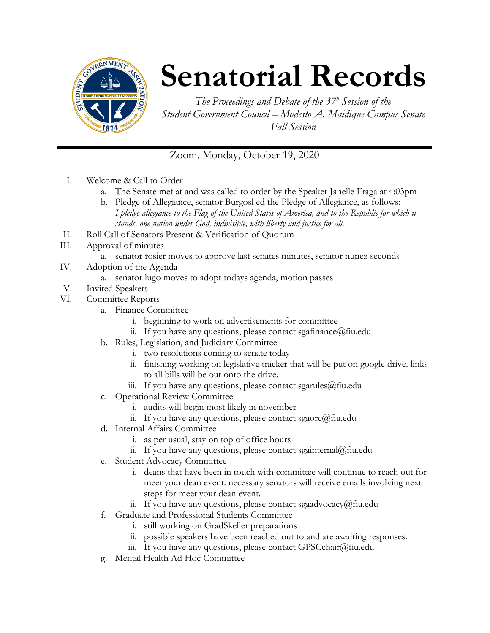

## **Senatorial Records**

*The Proceedings and Debate of the 37 <sup>h</sup> Session of the Student Government Council – Modesto A. Maidique Campus Senate Fall Session*

## Zoom, Monday, October 19, 2020

- I. Welcome & Call to Order
	- a. The Senate met at and was called to order by the Speaker Janelle Fraga at 4:03pm
	- b. Pledge of Allegiance, senator Burgosl ed the Pledge of Allegiance, as follows: *I pledge allegiance to the Flag of the United States of America, and to the Republic for which it stands, one nation under God, indivisible, with liberty and justice for all.*
- II. Roll Call of Senators Present & Verification of Quorum
- III. Approval of minutes
	- a. senator rosier moves to approve last senates minutes, senator nunez seconds
- IV. Adoption of the Agenda
	- a. senator lugo moves to adopt todays agenda, motion passes
- V. Invited Speakers
- VI. Committee Reports
	- a. Finance Committee
		- i. beginning to work on advertisements for committee
		- ii. If you have any questions, please contact sgafinance  $\omega$  fiu.edu
	- b. Rules, Legislation, and Judiciary Committee
		- i. two resolutions coming to senate today
		- ii. finishing working on legislative tracker that will be put on google drive. links to all bills will be out onto the drive.
		- iii. If you have any questions, please contact sgarules  $@$  fiu.edu
	- c. Operational Review Committee
		- i. audits will begin most likely in november
		- ii. If you have any questions, please contact sgaorc@fiu.edu
	- d. Internal Affairs Committee
		- i. as per usual, stay on top of office hours
		- ii. If you have any questions, please contact sgainternal@fiu.edu
	- e. Student Advocacy Committee
		- i. deans that have been in touch with committee will continue to reach out for meet your dean event. necessary senators will receive emails involving next steps for meet your dean event.
		- ii. If you have any questions, please contact sgaadvocacy@fiu.edu
	- f. Graduate and Professional Students Committee
		- i. still working on GradSkeller preparations
		- ii. possible speakers have been reached out to and are awaiting responses.
		- iii. If you have any questions, please contact GPSCchair@fiu.edu
	- g. Mental Health Ad Hoc Committee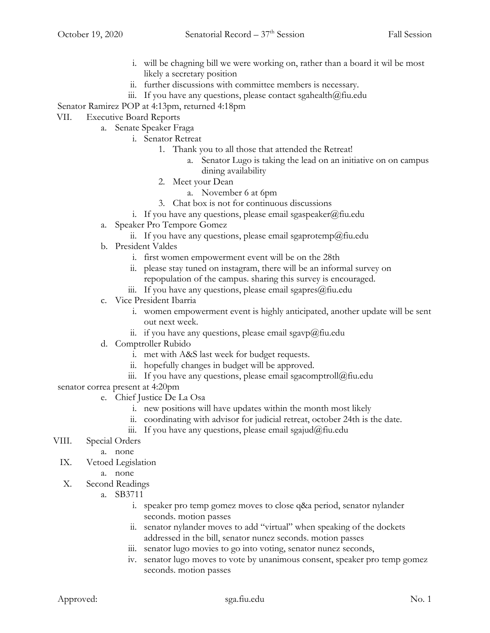- i. will be chagning bill we were working on, rather than a board it wil be most likely a secretary position
- ii. further discussions with committee members is necessary.
- iii. If you have any questions, please contact sgahealth $@$ fiu.edu

Senator Ramirez POP at 4:13pm, returned 4:18pm

- VII. Executive Board Reports
	- a. Senate Speaker Fraga
		- i. Senator Retreat
			- 1. Thank you to all those that attended the Retreat!
				- a. Senator Lugo is taking the lead on an initiative on on campus dining availability
			- 2. Meet your Dean
				- a. November 6 at 6pm
			- 3. Chat box is not for continuous discussions
			- i. If you have any questions, please email sgaspeaker@fiu.edu
		- a. Speaker Pro Tempore Gomez
			- ii. If you have any questions, please email sgaprotemp@fiu.edu
		- b. President Valdes
			- i. first women empowerment event will be on the 28th
			- ii. please stay tuned on instagram, there will be an informal survey on repopulation of the campus. sharing this survey is encouraged.
			- iii. If you have any questions, please email sgapres $@$ fiu.edu
		- c. Vice President Ibarria
			- i. women empowerment event is highly anticipated, another update will be sent out next week.
			- ii. if you have any questions, please email sgavp@fiu.edu
		- d. Comptroller Rubido
			- i. met with A&S last week for budget requests.
			- ii. hopefully changes in budget will be approved.
			- iii. If you have any questions, please email sgacomptroll $@$ fiu.edu
- senator correa present at 4:20pm
	- e. Chief Justice De La Osa
		- i. new positions will have updates within the month most likely
		- ii. coordinating with advisor for judicial retreat, october 24th is the date.
		- iii. If you have any questions, please email sgajud@fiu.edu
- VIII. Special Orders
	- a. none
	- IX. Vetoed Legislation
		- a. none
	- X. Second Readings
		- a. SB3711
			- i. speaker pro temp gomez moves to close q&a period, senator nylander seconds. motion passes
			- ii. senator nylander moves to add "virtual" when speaking of the dockets addressed in the bill, senator nunez seconds. motion passes
			- iii. senator lugo movies to go into voting, senator nunez seconds,
			- iv. senator lugo moves to vote by unanimous consent, speaker pro temp gomez seconds. motion passes